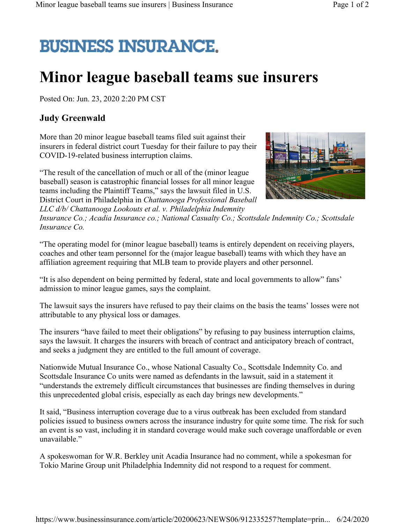## **BUSINESS INSURANCE.**

## **Minor league baseball teams sue insurers**

Posted On: Jun. 23, 2020 2:20 PM CST

## **Judy Greenwald**

More than 20 minor league baseball teams filed suit against their insurers in federal district court Tuesday for their failure to pay their COVID-19-related business interruption claims.

"The result of the cancellation of much or all of the (minor league baseball) season is catastrophic financial losses for all minor league teams including the Plaintiff Teams," says the lawsuit filed in U.S. District Court in Philadelphia in *Chattanooga Professional Baseball LLC d/b/ Chattanooga Lookouts et al. v. Philadelphia Indemnity* 



*Insurance Co.; Acadia Insurance co.; National Casualty Co.; Scottsdale Indemnity Co.; Scottsdale Insurance Co.*

"The operating model for (minor league baseball) teams is entirely dependent on receiving players, coaches and other team personnel for the (major league baseball) teams with which they have an affiliation agreement requiring that MLB team to provide players and other personnel.

"It is also dependent on being permitted by federal, state and local governments to allow" fans' admission to minor league games, says the complaint.

The lawsuit says the insurers have refused to pay their claims on the basis the teams' losses were not attributable to any physical loss or damages.

The insurers "have failed to meet their obligations" by refusing to pay business interruption claims, says the lawsuit. It charges the insurers with breach of contract and anticipatory breach of contract, and seeks a judgment they are entitled to the full amount of coverage.

Nationwide Mutual Insurance Co., whose National Casualty Co., Scottsdale Indemnity Co. and Scottsdale Insurance Co units were named as defendants in the lawsuit, said in a statement it "understands the extremely difficult circumstances that businesses are finding themselves in during this unprecedented global crisis, especially as each day brings new developments."

It said, "Business interruption coverage due to a virus outbreak has been excluded from standard policies issued to business owners across the insurance industry for quite some time. The risk for such an event is so vast, including it in standard coverage would make such coverage unaffordable or even unavailable."

A spokeswoman for W.R. Berkley unit Acadia Insurance had no comment, while a spokesman for Tokio Marine Group unit Philadelphia Indemnity did not respond to a request for comment.